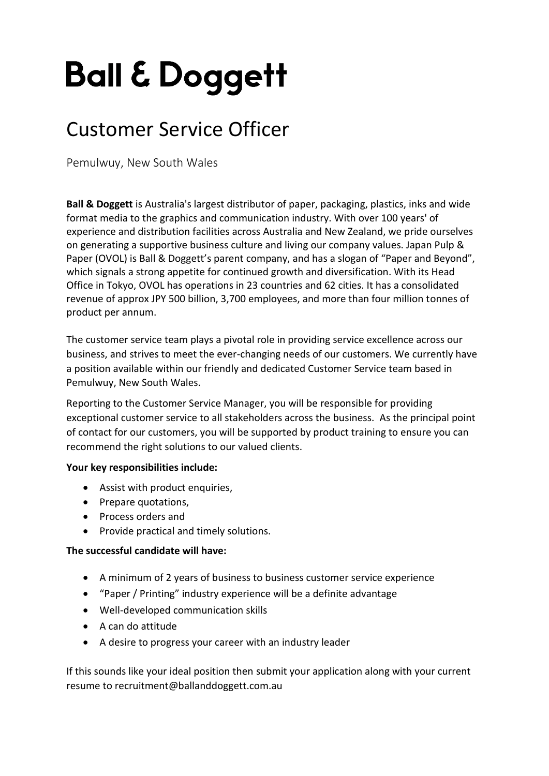# **Ball & Doggett**

## Customer Service Officer

Pemulwuy, New South Wales

**Ball & Doggett** is Australia's largest distributor of paper, packaging, plastics, inks and wide format media to the graphics and communication industry. With over 100 years' of experience and distribution facilities across Australia and New Zealand, we pride ourselves on generating a supportive business culture and living our company values. Japan Pulp & Paper (OVOL) is Ball & Doggett's parent company, and has a slogan of "Paper and Beyond", which signals a strong appetite for continued growth and diversification. With its Head Office in Tokyo, OVOL has operations in 23 countries and 62 cities. It has a consolidated revenue of approx JPY 500 billion, 3,700 employees, and more than four million tonnes of product per annum.

The customer service team plays a pivotal role in providing service excellence across our business, and strives to meet the ever-changing needs of our customers. We currently have a position available within our friendly and dedicated Customer Service team based in Pemulwuy, New South Wales.

Reporting to the Customer Service Manager, you will be responsible for providing exceptional customer service to all stakeholders across the business. As the principal point of contact for our customers, you will be supported by product training to ensure you can recommend the right solutions to our valued clients.

#### **Your key responsibilities include:**

- Assist with product enquiries,
- Prepare quotations,
- Process orders and
- Provide practical and timely solutions.

#### **The successful candidate will have:**

- A minimum of 2 years of business to business customer service experience
- "Paper / Printing" industry experience will be a definite advantage
- Well-developed communication skills
- A can do attitude
- A desire to progress your career with an industry leader

If this sounds like your ideal position then submit your application along with your current resume to recruitment@ballanddoggett.com.au